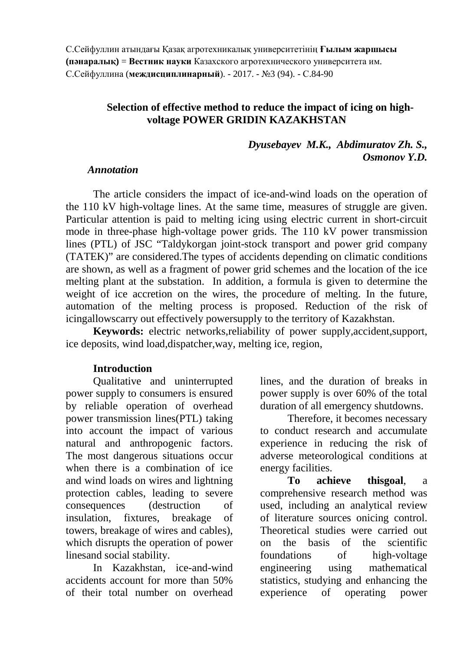С.Сейфуллин атындағы Қазақ агротехникалық университетінің **Ғылым жаршысы (пәнаралық)** = **Вестник науки** Казахского агротехнического университета им. С.Сейфуллина (**междисциплинарный**). - 2017. - №3 (94). - С.84-90

# **Selection of effective method to reduce the impact of icing on highvoltage POWER GRIDIN KAZAKHSTAN**

# *Dyusebayev M.K., Abdimuratov Zh. S., Osmonov Y.D.*

#### *Annotation*

The article considers the impact of ice-and-wind loads on the operation of the 110 kV high-voltage lines. At the same time, measures of struggle are given. Particular attention is paid to melting icing using electric current in short-circuit mode in three-phase high-voltage power grids. The 110 kV power transmission lines (PTL) of JSC "Taldykorgan joint-stock transport and power grid company (TATEK)" are considered.The types of accidents depending on climatic conditions are shown, as well as a fragment of power grid schemes and the location of the ice melting plant at the substation. In addition, a formula is given to determine the weight of ice accretion on the wires, the procedure of melting. In the future, automation of the melting process is proposed. Reduction of the risk of icingallowscarry out effectively powersupply to the territory of Kazakhstan.

**Keywords:** electric networks,reliability of power supply,accident,support, ice deposits, wind load,dispatcher,way, melting ice, region,

#### **Introduction**

Qualitative and uninterrupted power supply to consumers is ensured by reliable operation of overhead power transmission lines(PTL) taking into account the impact of various natural and anthropogenic factors. The most dangerous situations occur when there is a combination of ice and wind loads on wires and lightning protection cables, leading to severe consequences (destruction of insulation, fixtures, breakage of towers, breakage of wires and cables), which disrupts the operation of power linesand social stability.

In Kazakhstan, ice-and-wind accidents account for more than 50% of their total number on overhead

lines, and the duration of breaks in power supply is over 60% of the total duration of all emergency shutdowns.

Therefore, it becomes necessary to conduct research and accumulate experience in reducing the risk of adverse meteorological conditions at energy facilities.

**To achieve thisgoal**, a comprehensive research method was used, including an analytical review of literature sources onicing control. Theoretical studies were carried out on the basis of the scientific foundations of high-voltage engineering using mathematical statistics, studying and enhancing the experience of operating power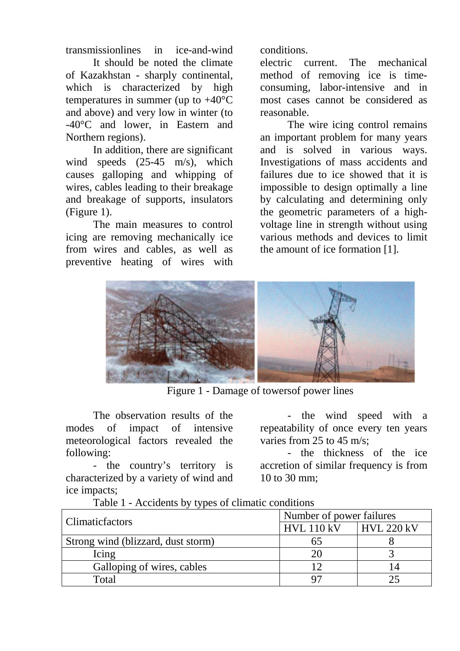transmissionlines in ice-and-wind conditions.

It should be noted the climate of Kazakhstan - sharply continental, which is characterized by high temperatures in summer (up to  $+40^{\circ}$ C) and above) and very low in winter (to -40°C and lower, in Eastern and Northern regions).

In addition, there are significant wind speeds (25-45 m/s), which causes galloping and whipping of wires, cables leading to their breakage and breakage of supports, insulators (Figure 1).

The main measures to control icing are removing mechanically ice from wires and cables, as well as preventive heating of wires with

electric current. The mechanical method of removing ice is timeconsuming, labor-intensive and in most cases cannot be considered as reasonable.

The wire icing control remains an important problem for many years and is solved in various ways. Investigations of mass accidents and failures due to ice showed that it is impossible to design optimally a line by calculating and determining only the geometric parameters of a highvoltage line in strength without using various methods and devices to limit the amount of ice formation [1].



Figure 1 - Damage of towersof power lines

The observation results of the modes of impact of intensive meteorological factors revealed the following:

- the country's territory is characterized by a variety of wind and ice impacts;

- the wind speed with a repeatability of once every ten years varies from 25 to 45 m/s;

- the thickness of the ice accretion of similar frequency is from 10 to 30 mm;

| <b>Climaticfactors</b>             | Number of power failures |            |
|------------------------------------|--------------------------|------------|
|                                    | <b>HVL</b> 110 kV        | HVL 220 kV |
| Strong wind (blizzard, dust storm) |                          |            |
| Icing                              |                          |            |
| Galloping of wires, cables         |                          |            |
| Total                              |                          |            |

Table 1 - Accidents by types of climatic conditions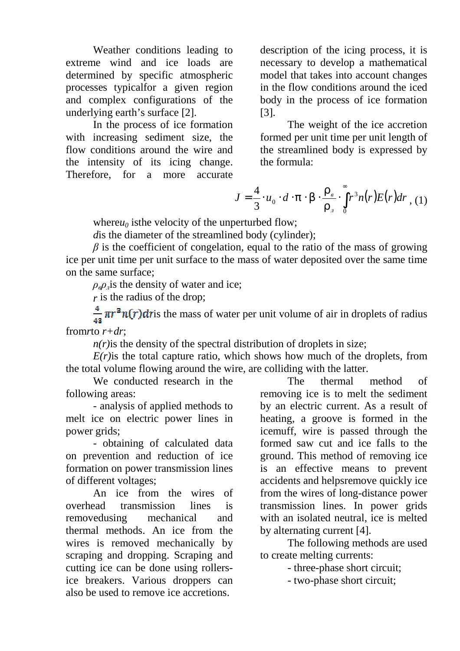Weather conditions leading to extreme wind and ice loads are determined by specific atmospheric processes typicalfor a given region and complex configurations of the underlying earth's surface [2].

In the process of ice formation with increasing sediment size, the flow conditions around the wire and the intensity of its icing change. Therefore, for a more accurate

description of the icing process, it is necessary to develop a mathematical model that takes into account changes in the flow conditions around the iced body in the process of ice formation [3].

The weight of the ice accretion formed per unit time per unit length of the streamlined body is expressed by the formula:

$$
J = \frac{4}{3} \times u_0 \times d \times p \times \sum_{r} \sum_{n}^{r} \sum_{0}^{r} n(r) E(r) dr
$$
 (1)

where $u_0$  is the velocity of the unperturbed flow;

*d*is the diameter of the streamlined body (cylinder);

 $\beta$  is the coefficient of congelation, equal to the ratio of the mass of growing ice per unit time per unit surface to the mass of water deposited over the same time on the same surface;

 $\rho_{\rm s}\rho_{\rm n}$  is the density of water and ice;

*r* is the radius of the drop;

 $\frac{4}{43} \pi r^3 n(r) dr$  is the mass of water per unit volume of air in droplets of radius from*r*to *r+dr*;

*n(r)*is the density of the spectral distribution of droplets in size;

 $E(r)$  is the total capture ratio, which shows how much of the droplets, from the total volume flowing around the wire, are colliding with the latter.

We conducted research in the following areas:

- analysis of applied methods to melt ice on electric power lines in power grids;

- obtaining of calculated data on prevention and reduction of ice formation on power transmission lines of different voltages;

An ice from the wires of overhead transmission lines is removedusing mechanical and thermal methods. An ice from the wires is removed mechanically by scraping and dropping. Scraping and cutting ice can be done using rollersice breakers. Various droppers can also be used to remove ice accretions.

The thermal method of removing ice is to melt the sediment by an electric current. As a result of heating, a groove is formed in the icemuff, wire is passed through the formed saw cut and ice falls to the ground. This method of removing ice is an effective means to prevent accidents and helpsremove quickly ice from the wires of long-distance power transmission lines. In power grids with an isolated neutral, ice is melted by alternating current [4].

The following methods are used to create melting currents:

- three-phase short circuit;

- two-phase short circuit;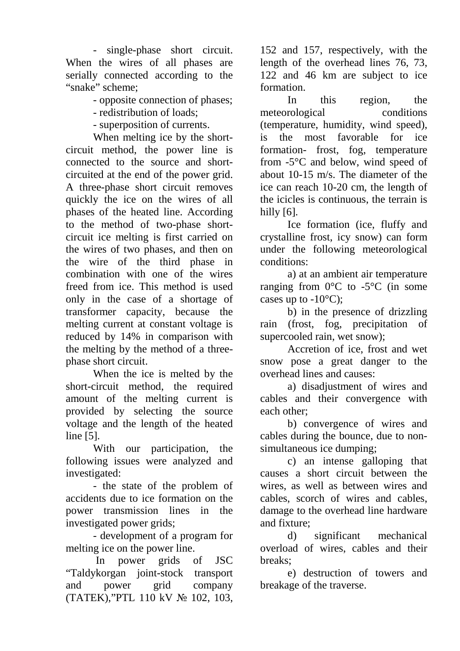- single-phase short circuit. When the wires of all phases are serially connected according to the "snake" scheme;

- opposite connection of phases;

- redistribution of loads;

- superposition of currents.

When melting ice by the shortcircuit method, the power line is connected to the source and shortcircuited at the end of the power grid. A three-phase short circuit removes quickly the ice on the wires of all phases of the heated line. According to the method of two-phase shortcircuit ice melting is first carried on the wires of two phases, and then on the wire of the third phase in combination with one of the wires freed from ice. This method is used only in the case of a shortage of transformer capacity, because the melting current at constant voltage is reduced by 14% in comparison with the melting by the method of a threephase short circuit.

When the ice is melted by the short-circuit method, the required amount of the melting current is provided by selecting the source voltage and the length of the heated line [5].

With our participation, the following issues were analyzed and investigated:

- the state of the problem of accidents due to ice formation on the power transmission lines in the investigated power grids;

- development of a program for melting ice on the power line.

In power grids of JSC "Taldykorgan joint-stock transport and power grid company (TATEK),"PTL 110 kV № 102, 103,

152 and 157, respectively, with the length of the overhead lines 76, 73, 122 and 46 km are subject to ice formation.

In this region, the meteorological conditions (temperature, humidity, wind speed), is the most favorable for ice formation- frost, fog, temperature from -5°C and below, wind speed of about 10-15 m/s. The diameter of the ice can reach 10-20 cm, the length of the icicles is continuous, the terrain is hilly [6].

Ice formation (ice, fluffy and crystalline frost, icy snow) can form under the following meteorological conditions:

a) at an ambient air temperature ranging from  $0^{\circ}$ C to -5<sup> $\circ$ </sup>C (in some cases up to  $-10^{\circ}$ C);

b) in the presence of drizzling rain (frost, fog, precipitation of supercooled rain, wet snow);

Accretion of ice, frost and wet snow pose a great danger to the overhead lines and causes:

a) disadjustment of wires and cables and their convergence with each other;

b) convergence of wires and cables during the bounce, due to nonsimultaneous ice dumping;

c) an intense galloping that causes a short circuit between the wires, as well as between wires and cables, scorch of wires and cables, damage to the overhead line hardware and fixture;

d) significant mechanical overload of wires, cables and their breaks;

e) destruction of towers and breakage of the traverse.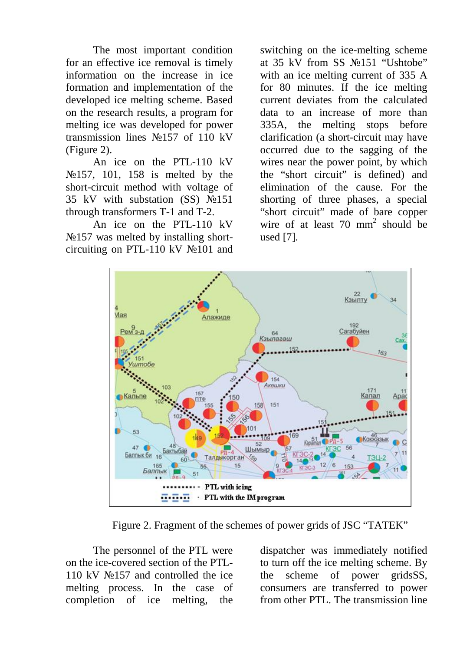The most important condition for an effective ice removal is timely information on the increase in ice formation and implementation of the developed ice melting scheme. Based on the research results, a program for melting ice was developed for power transmission lines №157 of 110 kV (Figure 2).

An ice on the PTL-110 kV №157, 101, 158 is melted by the short-circuit method with voltage of 35 kV with substation (SS) №151 through transformers Т-1 and Т-2.

An ice on the PTL-110 kV №157 was melted by installing shortcircuiting on PTL-110 kV №101 and

switching on the ice-melting scheme at 35 kV from SS №151 "Ushtobe" with an ice melting current of 335 A for 80 minutes. If the ice melting current deviates from the calculated data to an increase of more than 335A, the melting stops before clarification (a short-circuit may have occurred due to the sagging of the wires near the power point, by which the "short circuit" is defined) and elimination of the cause. For the shorting of three phases, a special "short circuit" made of bare copper wire of at least 70 mm<sup>2</sup> should be used [7].



Figure 2. Fragment of the schemes of power grids of JSC "TATEK"

The personnel of the PTL were on the ice-covered section of the PTL-110 kV №157 and controlled the ice melting process. In the case of completion of ice melting, the dispatcher was immediately notified to turn off the ice melting scheme. By the scheme of power gridsSS, consumers are transferred to power from other PTL. The transmission line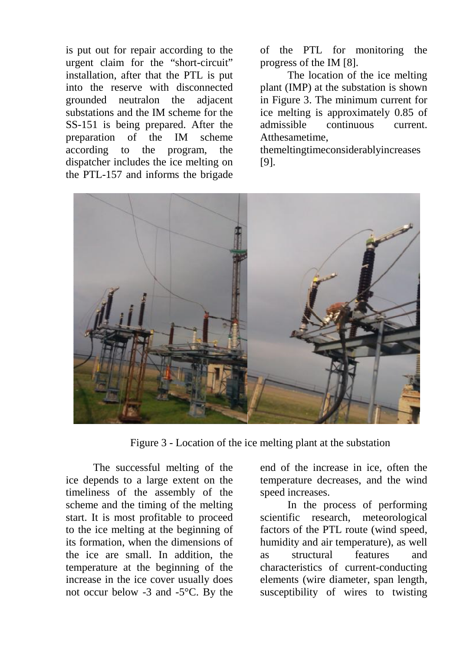is put out for repair according to the urgent claim for the "short-circuit" installation, after that the PTL is put into the reserve with disconnected grounded neutralon the adjacent substations and the IM scheme for the SS-151 is being prepared. After the preparation of the IM scheme according to the program, the dispatcher includes the ice melting on the PTL-157 and informs the brigade

of the PTL for monitoring the progress of the IM [8].

The location of the ice melting plant (IMP) at the substation is shown in Figure 3. The minimum current for ice melting is approximately 0.85 of admissible continuous current. Atthesametime,

themeltingtimeconsiderablyincreases [9].



Figure 3 - Location of the ice melting plant at the substation

The successful melting of the ice depends to a large extent on the timeliness of the assembly of the scheme and the timing of the melting start. It is most profitable to proceed to the ice melting at the beginning of its formation, when the dimensions of the ice are small. In addition, the temperature at the beginning of the increase in the ice cover usually does not occur below -3 and -5°C. By the

end of the increase in ice, often the temperature decreases, and the wind speed increases.

In the process of performing scientific research, meteorological factors of the PTL route (wind speed, humidity and air temperature), as well as structural features and characteristics of current-conducting elements (wire diameter, span length, susceptibility of wires to twisting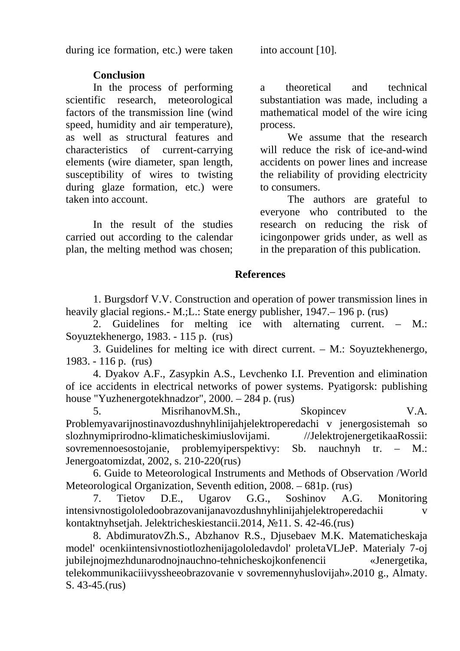during ice formation, etc.) were taken into account [10].

## **Conclusion**

In the process of performing scientific research, meteorological factors of the transmission line (wind speed, humidity and air temperature), as well as structural features and characteristics of current-carrying elements (wire diameter, span length, susceptibility of wires to twisting during glaze formation, etc.) were taken into account.

In the result of the studies carried out according to the calendar plan, the melting method was chosen; a theoretical and technical substantiation was made, including a mathematical model of the wire icing process.

We assume that the research will reduce the risk of ice-and-wind accidents on power lines and increase the reliability of providing electricity to consumers.

The authors are grateful to everyone who contributed to the research on reducing the risk of icingonpower grids under, as well as in the preparation of this publication.

# **References**

1. Burgsdorf V.V. Construction and operation of power transmission lines in heavily glacial regions.- M.;L.: State energy publisher, 1947.– 196 p. (rus)

2. Guidelines for melting ice with alternating current. – M.: Soyuztekhenergo, 1983. - 115 p. (rus)

3. Guidelines for melting ice with direct current. – M.: Soyuztekhenergo, 1983. - 116 p. (rus)

4. Dyakov A.F., Zasypkin A.S., Levchenko I.I. Prevention and elimination of ice accidents in electrical networks of power systems. Pyatigorsk: publishing house "Yuzhenergotekhnadzor", 2000. – 284 p. (rus)

5. MisrihanovM.Sh., Skopincev V.A. Problemyavarijnostinavozdushnyhlinijahjelektroperedachi v jenergosistemah so slozhnymiprirodno-klimaticheskimiuslovijami. //JelektrojenergetikaaRossii: sovremennoesostojanie, problemyiperspektivy: Sb. nauchnyh tr. – M.: Jenergoatomizdat, 2002, s. 210-220(rus)

6. Guide to Meteorological Instruments and Methods of Observation /World Meteorological Organization, Seventh edition, 2008. – 681p. (rus)

7. Tietov D.E., Ugarov G.G., Soshinov A.G. Monitoring intensivnostigololedoobrazovanijanavozdushnyhlinijahjelektroperedachii v kontaktnyhsetjah. Jelektricheskiestancii.2014, №11. S. 42-46.(rus)

8. AbdimuratovZh.S., Abzhanov R.S., Djusebaev M.K. Matematicheskaja model' ocenkiintensivnostiotlozhenijagololedavdol' proletaVLJeP. Materialy 7-oj jubilejnojmezhdunarodnojnauchno-tehnicheskojkonfenencii «Jenergetika, telekommunikaciiivyssheeobrazovanie v sovremennyhuslovijah».2010 g., Almaty. S. 43-45.(rus)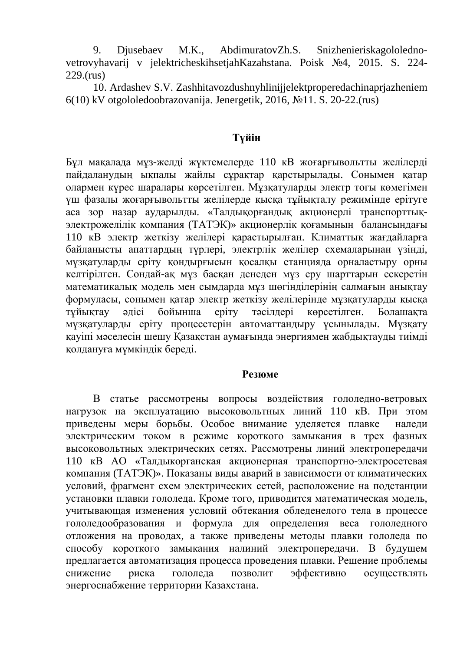9. Djusebaev M.K., AbdimuratovZh.S. Snizhenieriskagololednovetrovyhavarij v jelektricheskihsetjahKazahstana. Poisk №4, 2015. S. 224- 229.(rus)

10. Ardashev S.V. Zashhitavozdushnyhlinijjelektproperedachinaprjazheniem 6(10) kV otgololedoobrazovanija. Jenergetik, 2016, №11. S. 20-22.(rus)

#### **Түйін**

Бұл мақалада мұз-желді жүктемелерде 110 кВ жоғарғывольтты желілерді пайдаланудың ықпалы жайлы сұрақтар қарстырылады. Сонымен қатар олармен күрес шаралары көрсетілген. Мұзқатуларды электр тогы көмегімен үш фазалы жоғарғывольтты желілерде қысқа тұйықталу режимінде ерітуге аса зор назар аударылды. «Талдықорғандық акционерлі транспорттықэлектрожелілік компания (ТАТЭК)» акционерлік қоғамының балансындағы 110 кВ электр жеткізу желілері қарастырылған. Климаттық жағдайларға байланысты апаттардың түрлері, электрлік желілер схемаларынан үзінді, мұзқатуларды еріту қондырғысын қосалқы станцияда орналастыру орны келтірілген. Сондай-ақ мұз басқан денеден мұз еру шарттарын ескеретін математикалық модель мен сымдарда мұз шөгінділерінің салмағын анықтау формуласы, сонымен қатар электр жеткізу желілерінде мұзқатуларды қысқа тұйықтау әдісі бойынша еріту тәсілдері көрсетілген. Болашақта мұзқатуларды еріту процесстерін автоматтандыру ұсынылады. Мұзқату қауіпі мәселесін шешу Қазақстан аумағында энергиямен жабдықтауды тиімді қолдануға мүмкіндік береді.

#### **Резюме**

В статье рассмотрены вопросы воздействия гололедно-ветровых нагрузок на эксплуатацию высоковольтных линий 110 кВ. При этом приведены меры борьбы. Особое внимание уделяется плавке наледи электрическим током в режиме короткого замыкания в трех фазных высоковольтных электрических сетях. Рассмотрены линий электропередачи 110 кВ АО «Талдыкорганская акционерная транспортно-электросетевая компания (ТАТЭК)». Показаны виды аварий в зависимости от климатических условий, фрагмент схем электрических сетей, расположение на подстанции установки плавки гололеда. Кроме того, приводится математическая модель, учитывающая изменения условий обтекания обледенелого тела в процессе гололедообразования и формула для определения веса гололедного отложения на проводах, а также приведены методы плавки гололеда по способу короткого замыкания налиний электропередачи. В будущем предлагается автоматизация процесса проведения плавки. Решение проблемы снижение риска гололеда позволит эффективно осуществлять энергоснабжение территории Казахстана.